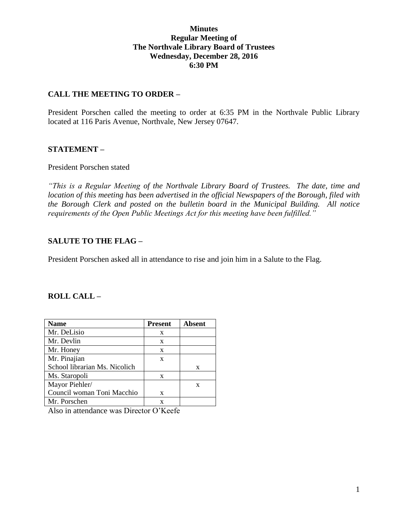## **Minutes Regular Meeting of The Northvale Library Board of Trustees Wednesday, December 28, 2016 6:30 PM**

## **CALL THE MEETING TO ORDER –**

President Porschen called the meeting to order at 6:35 PM in the Northvale Public Library located at 116 Paris Avenue, Northvale, New Jersey 07647.

#### **STATEMENT –**

#### President Porschen stated

*"This is a Regular Meeting of the Northvale Library Board of Trustees. The date, time and location of this meeting has been advertised in the official Newspapers of the Borough, filed with the Borough Clerk and posted on the bulletin board in the Municipal Building. All notice requirements of the Open Public Meetings Act for this meeting have been fulfilled."* 

## **SALUTE TO THE FLAG –**

President Porschen asked all in attendance to rise and join him in a Salute to the Flag.

# **ROLL CALL –**

| <b>Name</b>                   | <b>Present</b> | Absent |
|-------------------------------|----------------|--------|
| Mr. DeLisio                   | X              |        |
| Mr. Devlin                    | X              |        |
| Mr. Honey                     | X              |        |
| Mr. Pinajian                  | X              |        |
| School librarian Ms. Nicolich |                | X      |
| Ms. Staropoli                 | X              |        |
| Mayor Piehler/                |                | X      |
| Council woman Toni Macchio    | X              |        |
| Mr. Porschen                  | x              |        |

Also in attendance was Director O'Keefe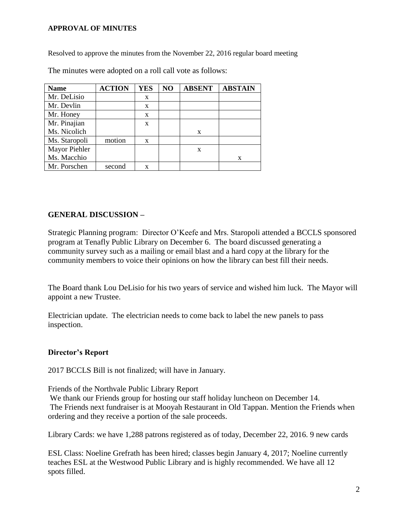#### **APPROVAL OF MINUTES**

Resolved to approve the minutes from the November 22, 2016 regular board meeting

| <b>Name</b>   | <b>ACTION</b> | <b>YES</b> | NO | <b>ABSENT</b> | <b>ABSTAIN</b> |
|---------------|---------------|------------|----|---------------|----------------|
| Mr. DeLisio   |               | X          |    |               |                |
| Mr. Devlin    |               | X          |    |               |                |
| Mr. Honey     |               | X          |    |               |                |
| Mr. Pinajian  |               | X          |    |               |                |
| Ms. Nicolich  |               |            |    | X             |                |
| Ms. Staropoli | motion        | X          |    |               |                |
| Mayor Piehler |               |            |    | X             |                |
| Ms. Macchio   |               |            |    |               | X              |
| Mr. Porschen  | second        | X          |    |               |                |

The minutes were adopted on a roll call vote as follows:

# **GENERAL DISCUSSION –**

Strategic Planning program: Director O'Keefe and Mrs. Staropoli attended a BCCLS sponsored program at Tenafly Public Library on December 6. The board discussed generating a community survey such as a mailing or email blast and a hard copy at the library for the community members to voice their opinions on how the library can best fill their needs.

The Board thank Lou DeLisio for his two years of service and wished him luck. The Mayor will appoint a new Trustee.

Electrician update. The electrician needs to come back to label the new panels to pass inspection.

#### **Director's Report**

2017 BCCLS Bill is not finalized; will have in January.

Friends of the Northvale Public Library Report

We thank our Friends group for hosting our staff holiday luncheon on December 14. The Friends next fundraiser is at Mooyah Restaurant in Old Tappan. Mention the Friends when ordering and they receive a portion of the sale proceeds.

Library Cards: we have 1,288 patrons registered as of today, December 22, 2016. 9 new cards

ESL Class: Noeline Grefrath has been hired; classes begin January 4, 2017; Noeline currently teaches ESL at the Westwood Public Library and is highly recommended. We have all 12 spots filled.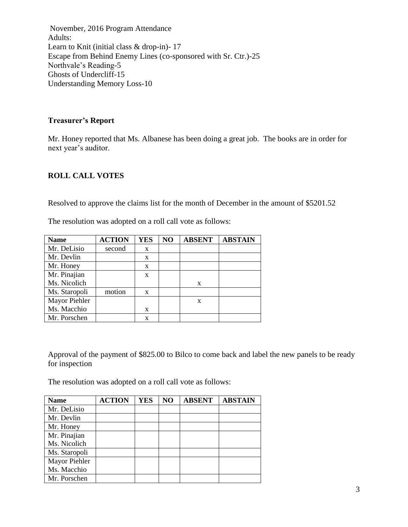November, 2016 Program Attendance Adults: Learn to Knit (initial class & drop-in)- 17 Escape from Behind Enemy Lines (co-sponsored with Sr. Ctr.)-25 Northvale's Reading-5 Ghosts of Undercliff-15 Understanding Memory Loss-10

### **Treasurer's Report**

Mr. Honey reported that Ms. Albanese has been doing a great job. The books are in order for next year's auditor.

# **ROLL CALL VOTES**

Resolved to approve the claims list for the month of December in the amount of \$5201.52

| <b>Name</b>   | <b>ACTION</b> | <b>YES</b> | NO | <b>ABSENT</b> | <b>ABSTAIN</b> |
|---------------|---------------|------------|----|---------------|----------------|
| Mr. DeLisio   | second        | X          |    |               |                |
| Mr. Devlin    |               | X          |    |               |                |
| Mr. Honey     |               | X          |    |               |                |
| Mr. Pinajian  |               | X          |    |               |                |
| Ms. Nicolich  |               |            |    | X             |                |
| Ms. Staropoli | motion        | X          |    |               |                |
| Mayor Piehler |               |            |    | X             |                |
| Ms. Macchio   |               | X          |    |               |                |
| Mr. Porschen  |               | X          |    |               |                |

The resolution was adopted on a roll call vote as follows:

Approval of the payment of \$825.00 to Bilco to come back and label the new panels to be ready for inspection

The resolution was adopted on a roll call vote as follows:

| <b>Name</b>   | <b>ACTION</b> | <b>YES</b> | NO | <b>ABSENT</b> | <b>ABSTAIN</b> |
|---------------|---------------|------------|----|---------------|----------------|
| Mr. DeLisio   |               |            |    |               |                |
| Mr. Devlin    |               |            |    |               |                |
| Mr. Honey     |               |            |    |               |                |
| Mr. Pinajian  |               |            |    |               |                |
| Ms. Nicolich  |               |            |    |               |                |
| Ms. Staropoli |               |            |    |               |                |
| Mayor Piehler |               |            |    |               |                |
| Ms. Macchio   |               |            |    |               |                |
| Mr. Porschen  |               |            |    |               |                |